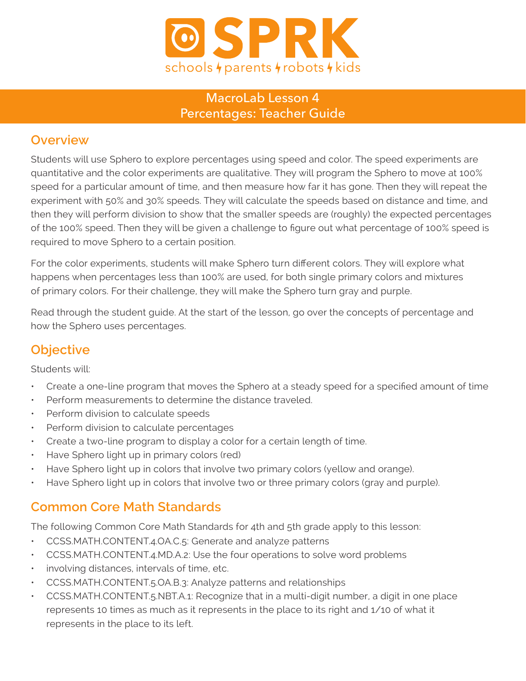

#### MacroLab Lesson 4 Percentages: Teacher Guide

#### **Overview**

Students will use Sphero to explore percentages using speed and color. The speed experiments are quantitative and the color experiments are qualitative. They will program the Sphero to move at 100% speed for a particular amount of time, and then measure how far it has gone. Then they will repeat the experiment with 50% and 30% speeds. They will calculate the speeds based on distance and time, and then they will perform division to show that the smaller speeds are (roughly) the expected percentages of the 100% speed. Then they will be given a challenge to figure out what percentage of 100% speed is required to move Sphero to a certain position.

For the color experiments, students will make Sphero turn different colors. They will explore what happens when percentages less than 100% are used, for both single primary colors and mixtures of primary colors. For their challenge, they will make the Sphero turn gray and purple.

Read through the student guide. At the start of the lesson, go over the concepts of percentage and how the Sphero uses percentages.

## **Objective**

Students will:

- Create a one-line program that moves the Sphero at a steady speed for a specified amount of time
- Perform measurements to determine the distance traveled.
- Perform division to calculate speeds
- Perform division to calculate percentages
- Create a two-line program to display a color for a certain length of time.
- Have Sphero light up in primary colors (red)
- Have Sphero light up in colors that involve two primary colors (yellow and orange).
- Have Sphero light up in colors that involve two or three primary colors (gray and purple).

#### **Common Core Math Standards**

The following Common Core Math Standards for 4th and 5th grade apply to this lesson:

- CCSS.MATH.CONTENT.4.OA.C.5: Generate and analyze patterns
- CCSS.MATH.CONTENT.4.MD.A.2: Use the four operations to solve word problems
- involving distances, intervals of time, etc.
- CCSS.MATH.CONTENT.5.OA.B.3: Analyze patterns and relationships
- CCSS.MATH.CONTENT.5.NBT.A.1: Recognize that in a multi-digit number, a digit in one place represents 10 times as much as it represents in the place to its right and 1/10 of what it represents in the place to its left.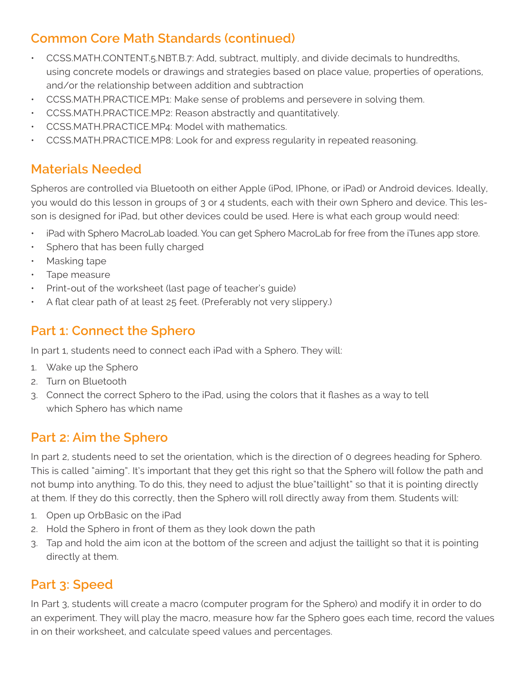# **Common Core Math Standards (continued)**

- CCSS.MATH.CONTENT.5.NBT.B.7: Add, subtract, multiply, and divide decimals to hundredths, using concrete models or drawings and strategies based on place value, properties of operations, and/or the relationship between addition and subtraction
- CCSS.MATH.PRACTICE.MP1: Make sense of problems and persevere in solving them.
- CCSS.MATH.PRACTICE.MP2: Reason abstractly and quantitatively.
- CCSS.MATH.PRACTICE.MP4: Model with mathematics.
- CCSS.MATH.PRACTICE.MP8: Look for and express regularity in repeated reasoning.

## **Materials Needed**

Spheros are controlled via Bluetooth on either Apple (iPod, IPhone, or iPad) or Android devices. Ideally, you would do this lesson in groups of 3 or 4 students, each with their own Sphero and device. This lesson is designed for iPad, but other devices could be used. Here is what each group would need:

- iPad with Sphero MacroLab loaded. You can get Sphero MacroLab for free from the iTunes app store.
- Sphero that has been fully charged
- Masking tape
- Tape measure
- Print-out of the worksheet (last page of teacher's guide)
- A flat clear path of at least 25 feet. (Preferably not very slippery.)

## **Part 1: Connect the Sphero**

In part 1, students need to connect each iPad with a Sphero. They will:

- 1. Wake up the Sphero
- 2. Turn on Bluetooth
- 3. Connect the correct Sphero to the iPad, using the colors that it flashes as a way to tell which Sphero has which name

## **Part 2: Aim the Sphero**

In part 2, students need to set the orientation, which is the direction of 0 degrees heading for Sphero. This is called "aiming". It's important that they get this right so that the Sphero will follow the path and not bump into anything. To do this, they need to adjust the blue"taillight" so that it is pointing directly at them. If they do this correctly, then the Sphero will roll directly away from them. Students will:

- 1. Open up OrbBasic on the iPad
- 2. Hold the Sphero in front of them as they look down the path
- 3. Tap and hold the aim icon at the bottom of the screen and adjust the taillight so that it is pointing directly at them.

# **Part 3: Speed**

In Part 3, students will create a macro (computer program for the Sphero) and modify it in order to do an experiment. They will play the macro, measure how far the Sphero goes each time, record the values in on their worksheet, and calculate speed values and percentages.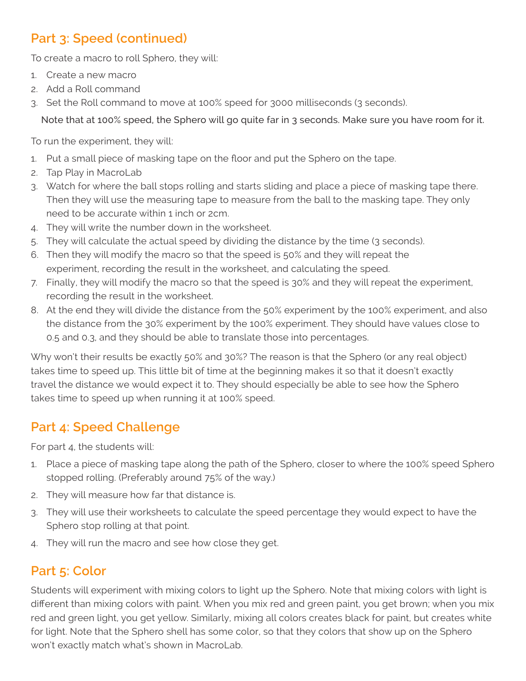## **Part 3: Speed (continued)**

To create a macro to roll Sphero, they will:

- 1. Create a new macro
- 2. Add a Roll command
- 3. Set the Roll command to move at 100% speed for 3000 milliseconds (3 seconds).

Note that at 100% speed, the Sphero will go quite far in 3 seconds. Make sure you have room for it.

To run the experiment, they will:

- 1. Put a small piece of masking tape on the floor and put the Sphero on the tape.
- 2. Tap Play in MacroLab
- 3. Watch for where the ball stops rolling and starts sliding and place a piece of masking tape there. Then they will use the measuring tape to measure from the ball to the masking tape. They only need to be accurate within 1 inch or 2cm.
- 4. They will write the number down in the worksheet.
- 5. They will calculate the actual speed by dividing the distance by the time (3 seconds).
- 6. Then they will modify the macro so that the speed is 50% and they will repeat the experiment, recording the result in the worksheet, and calculating the speed.
- 7. Finally, they will modify the macro so that the speed is 30% and they will repeat the experiment, recording the result in the worksheet.
- 8. At the end they will divide the distance from the 50% experiment by the 100% experiment, and also the distance from the 30% experiment by the 100% experiment. They should have values close to 0.5 and 0.3, and they should be able to translate those into percentages.

Why won't their results be exactly 50% and 30%? The reason is that the Sphero (or any real object) takes time to speed up. This little bit of time at the beginning makes it so that it doesn't exactly travel the distance we would expect it to. They should especially be able to see how the Sphero takes time to speed up when running it at 100% speed.

## **Part 4: Speed Challenge**

For part 4, the students will:

- 1. Place a piece of masking tape along the path of the Sphero, closer to where the 100% speed Sphero stopped rolling. (Preferably around 75% of the way.)
- 2. They will measure how far that distance is.
- 3. They will use their worksheets to calculate the speed percentage they would expect to have the Sphero stop rolling at that point.
- 4. They will run the macro and see how close they get.

## **Part 5: Color**

Students will experiment with mixing colors to light up the Sphero. Note that mixing colors with light is different than mixing colors with paint. When you mix red and green paint, you get brown; when you mix red and green light, you get yellow. Similarly, mixing all colors creates black for paint, but creates white for light. Note that the Sphero shell has some color, so that they colors that show up on the Sphero won't exactly match what's shown in MacroLab.